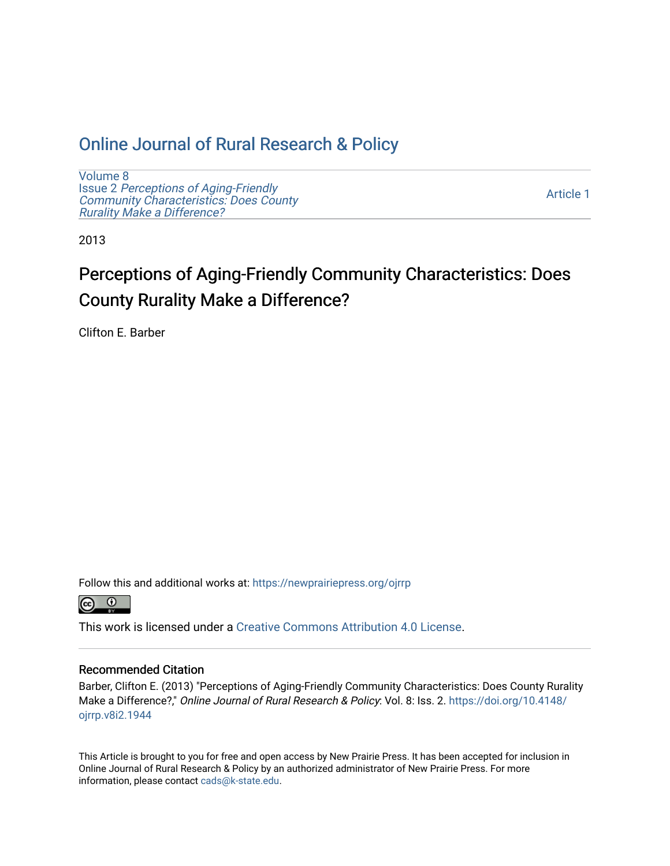# [Online Journal of Rural Research & Policy](https://newprairiepress.org/ojrrp)

[Volume 8](https://newprairiepress.org/ojrrp/vol8) Issue 2 [Perceptions of Aging-Friendly](https://newprairiepress.org/ojrrp/vol8/iss2) [Community Characteristics: Does County](https://newprairiepress.org/ojrrp/vol8/iss2) [Rurality Make a Difference?](https://newprairiepress.org/ojrrp/vol8/iss2) 

[Article 1](https://newprairiepress.org/ojrrp/vol8/iss2/1) 

2013

# Perceptions of Aging-Friendly Community Characteristics: Does County Rurality Make a Difference?

Clifton E. Barber

Follow this and additional works at: [https://newprairiepress.org/ojrrp](https://newprairiepress.org/ojrrp?utm_source=newprairiepress.org%2Fojrrp%2Fvol8%2Fiss2%2F1&utm_medium=PDF&utm_campaign=PDFCoverPages) 



This work is licensed under a [Creative Commons Attribution 4.0 License](https://creativecommons.org/licenses/by/4.0/).

#### Recommended Citation

Barber, Clifton E. (2013) "Perceptions of Aging-Friendly Community Characteristics: Does County Rurality Make a Difference?," Online Journal of Rural Research & Policy: Vol. 8: Iss. 2. [https://doi.org/10.4148/](https://doi.org/10.4148/ojrrp.v8i2.1944) [ojrrp.v8i2.1944](https://doi.org/10.4148/ojrrp.v8i2.1944) 

This Article is brought to you for free and open access by New Prairie Press. It has been accepted for inclusion in Online Journal of Rural Research & Policy by an authorized administrator of New Prairie Press. For more information, please contact [cads@k-state.edu](mailto:cads@k-state.edu).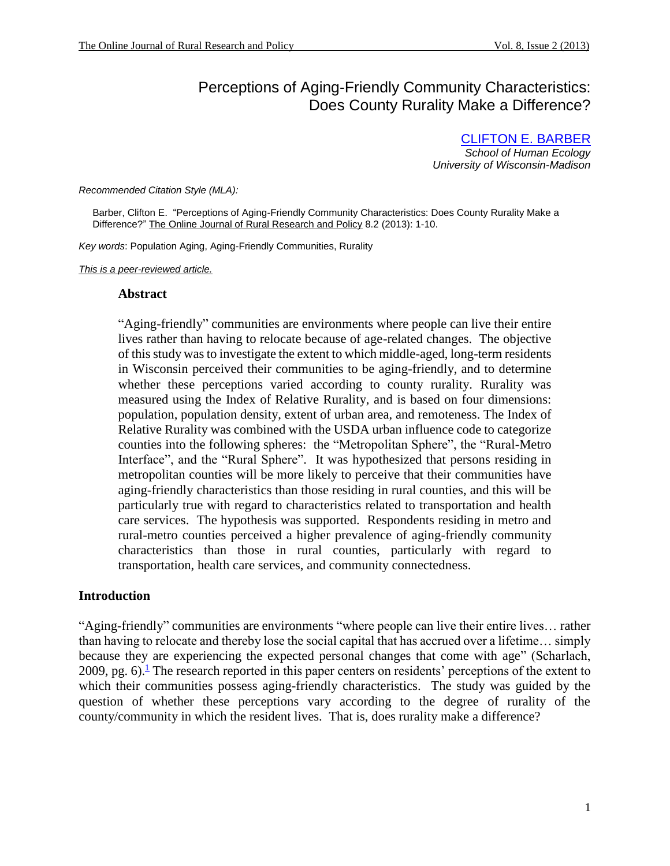# <span id="page-1-1"></span>Perceptions of Aging-Friendly Community Characteristics: Does County Rurality Make a Difference?

[CLIFTON E. BARBER](#page-10-0) *School of Human Ecology University of Wisconsin-Madison*

*Recommended Citation Style (MLA):*

 Barber, Clifton E. "Perceptions of Aging-Friendly Community Characteristics: Does County Rurality Make a Difference?" The Online Journal of Rural Research and Policy 8.2 (2013): 1-10.

*Key words*: Population Aging, Aging-Friendly Communities, Rurality

*This is a peer-reviewed article.*

#### **Abstract**

"Aging-friendly" communities are environments where people can live their entire lives rather than having to relocate because of age-related changes. The objective of this study was to investigate the extent to which middle-aged, long-term residents in Wisconsin perceived their communities to be aging-friendly, and to determine whether these perceptions varied according to county rurality. Rurality was measured using the Index of Relative Rurality, and is based on four dimensions: population, population density, extent of urban area, and remoteness. The Index of Relative Rurality was combined with the USDA urban influence code to categorize counties into the following spheres: the "Metropolitan Sphere", the "Rural-Metro Interface", and the "Rural Sphere". It was hypothesized that persons residing in metropolitan counties will be more likely to perceive that their communities have aging-friendly characteristics than those residing in rural counties, and this will be particularly true with regard to characteristics related to transportation and health care services. The hypothesis was supported. Respondents residing in metro and rural-metro counties perceived a higher prevalence of aging-friendly community characteristics than those in rural counties, particularly with regard to transportation, health care services, and community connectedness.

#### **Introduction**

<span id="page-1-0"></span>"Aging-friendly" communities are environments "where people can live their entire lives… rather than having to relocate and thereby lose the social capital that has accrued over a lifetime… simply because they are experiencing the expected personal changes that come with age" (Scharlach, 2009, pg[.](#page-9-0) 6).<sup> $\frac{1}{2}$ </sup> The research reported in this paper centers on residents' perceptions of the extent to which their communities possess aging-friendly characteristics. The study was guided by the question of whether these perceptions vary according to the degree of rurality of the county/community in which the resident lives. That is, does rurality make a difference?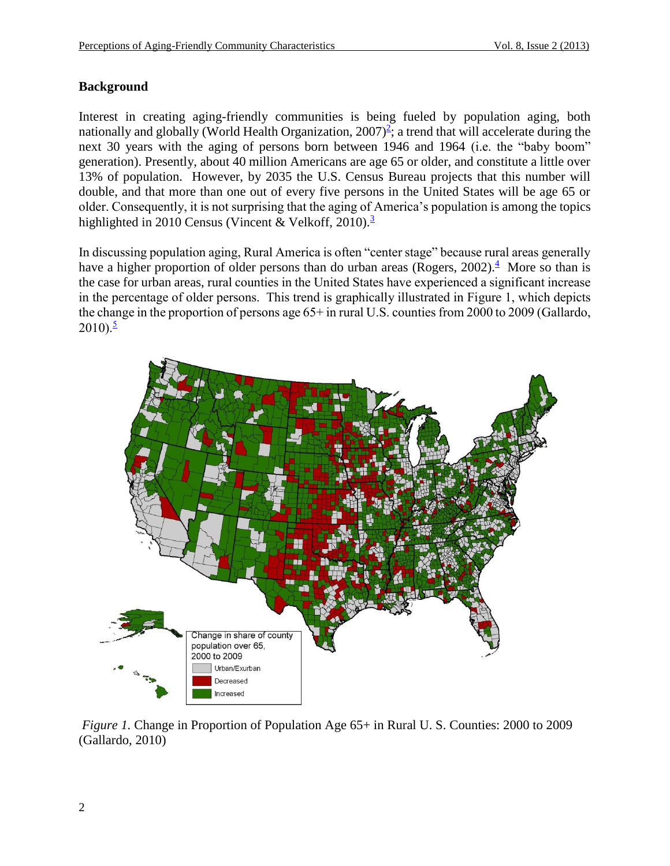# **Background**

<span id="page-2-0"></span>Interest in creating aging-friendly communities is being fueled by population aging, both nationally and globally (World Health Organization,  $2007)^2$  $2007)^2$ ; a trend that will accelerate during the next 30 years with the aging of persons born between 1946 and 1964 (i.e. the "baby boom" generation). Presently, about 40 million Americans are age 65 or older, and constitute a little over 13% of population. However, by 2035 the U.S. Census Bureau projects that this number will double, and that more than one out of every five persons in the United States will be age 65 or older. Consequently, it is not surprising that the aging of America's population is among the topics highlighted in 2010 Census (Vincent & Velkoff, 2010).<sup>[3](#page-9-2)</sup>

<span id="page-2-2"></span><span id="page-2-1"></span>In discussing population aging, Rural America is often "center stage" because rural areas generally have a higher proportion of older persons than do urban areas (Rogers, 2002)[.](#page-9-3)<sup>4</sup> More so than is the case for urban areas, rural counties in the United States have experienced a significant increase in the percentage of older persons. This trend is graphically illustrated in Figure 1, which depicts the change in the proportion of persons age 65+ in rural U.S. counties from 2000 to 2009 (Gallardo,  $2010$ .<sup>[5](#page-9-4)</sup>

<span id="page-2-3"></span>

*Figure 1.* Change in Proportion of Population Age 65+ in Rural U. S. Counties: 2000 to 2009 (Gallardo, 2010)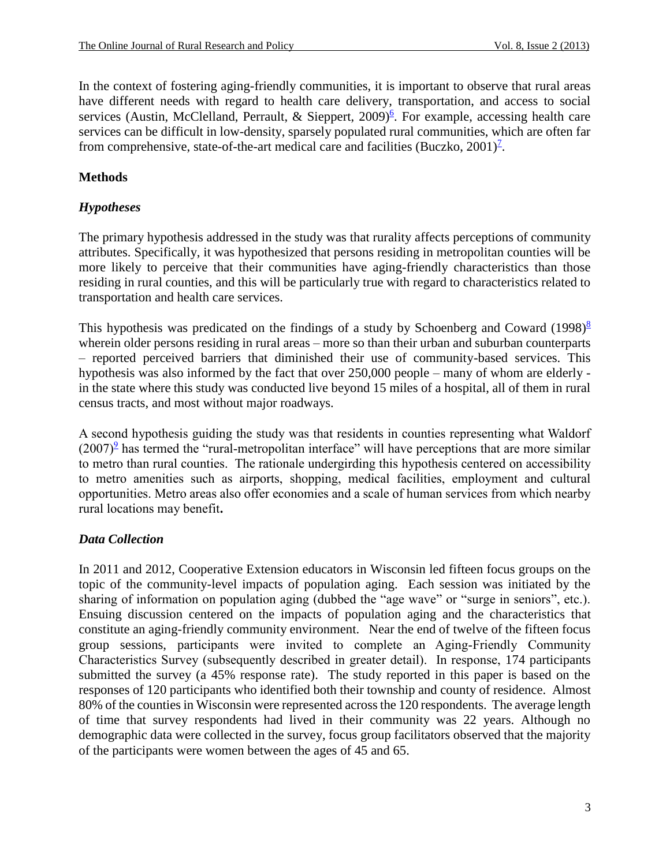<span id="page-3-0"></span>In the context of fostering aging-friendly communities, it is important to observe that rural areas have different needs with regard to health care delivery, transportation, and access to social services (Austin, McClelland, Perrault, & Sieppert, 2009)<sup>[6](#page-9-5)</sup>. For example, accessing health care services can be difficult in low-density, sparsely populated rural communities, which are often far from comprehensive, state-of-the-art medical care and facilities (Buczko,  $2001$ )<sup> $7$ </sup>.

# <span id="page-3-1"></span>**Methods**

# *Hypotheses*

The primary hypothesis addressed in the study was that rurality affects perceptions of community attributes. Specifically, it was hypothesized that persons residing in metropolitan counties will be more likely to perceive that their communities have aging-friendly characteristics than those residing in rural counties, and this will be particularly true with regard to characteristics related to transportation and health care services.

<span id="page-3-2"></span>This hypothesis was predicated on the findings of a study by Schoenberg and Coward  $(1998)^8$  $(1998)^8$  $(1998)^8$ wherein older persons residing in rural areas – more so than their urban and suburban counterparts – reported perceived barriers that diminished their use of community-based services. This hypothesis was also informed by the fact that over 250,000 people – many of whom are elderly in the state where this study was conducted live beyond 15 miles of a hospital, all of them in rural census tracts, and most without major roadways.

<span id="page-3-3"></span>A second hypothesis guiding the study was that residents in counties representing what Waldorf  $(2007)^9$  $(2007)^9$  has termed the "rural-metropolitan interface" will have perceptions that are more similar to metro than rural counties. The rationale undergirding this hypothesis centered on accessibility to metro amenities such as airports, shopping, medical facilities, employment and cultural opportunities. Metro areas also offer economies and a scale of human services from which nearby rural locations may benefit**.** 

# *Data Collection*

In 2011 and 2012, Cooperative Extension educators in Wisconsin led fifteen focus groups on the topic of the community-level impacts of population aging. Each session was initiated by the sharing of information on population aging (dubbed the "age wave" or "surge in seniors", etc.). Ensuing discussion centered on the impacts of population aging and the characteristics that constitute an aging-friendly community environment. Near the end of twelve of the fifteen focus group sessions, participants were invited to complete an Aging-Friendly Community Characteristics Survey (subsequently described in greater detail). In response, 174 participants submitted the survey (a 45% response rate). The study reported in this paper is based on the responses of 120 participants who identified both their township and county of residence. Almost 80% of the counties in Wisconsin were represented across the 120 respondents. The average length of time that survey respondents had lived in their community was 22 years. Although no demographic data were collected in the survey, focus group facilitators observed that the majority of the participants were women between the ages of 45 and 65.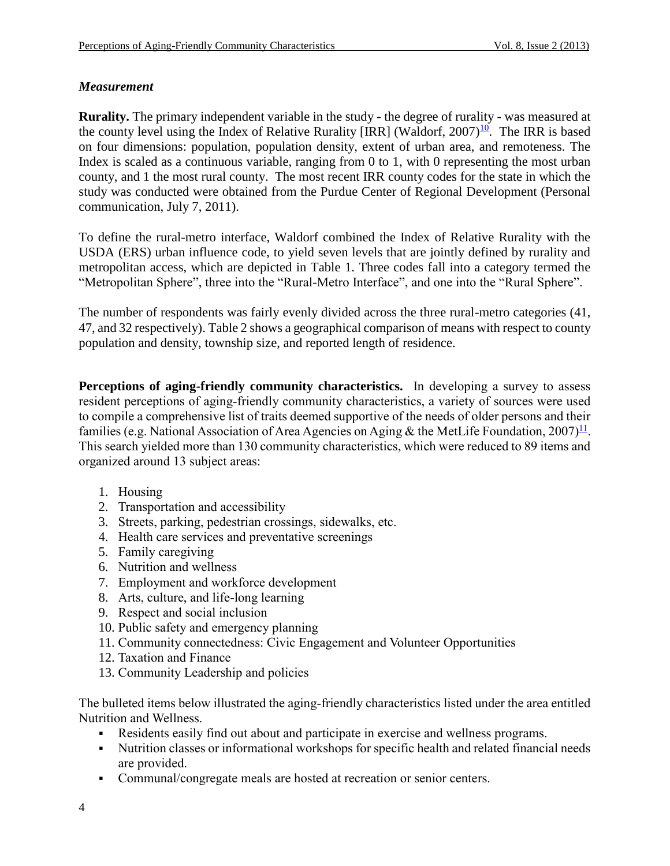# *Measurement*

<span id="page-4-0"></span>**Rurality.** The primary independent variable in the study - the degree of rurality - was measured at the county level using the Index of Relative Rurality [IRR] (Waldorf, 2007)<sup>[10](#page-9-9)</sup>. The IRR is based on four dimensions: population, population density, extent of urban area, and remoteness. The Index is scaled as a continuous variable, ranging from 0 to 1, with 0 representing the most urban county, and 1 the most rural county. The most recent IRR county codes for the state in which the study was conducted were obtained from the Purdue Center of Regional Development (Personal communication, July 7, 2011).

To define the rural-metro interface, Waldorf combined the Index of Relative Rurality with the USDA (ERS) urban influence code, to yield seven levels that are jointly defined by rurality and metropolitan access, which are depicted in Table 1. Three codes fall into a category termed the "Metropolitan Sphere", three into the "Rural-Metro Interface", and one into the "Rural Sphere".

The number of respondents was fairly evenly divided across the three rural-metro categories (41, 47, and 32 respectively). Table 2 shows a geographical comparison of means with respect to county population and density, township size, and reported length of residence.

**Perceptions of aging-friendly community characteristics.** In developing a survey to assess resident perceptions of aging-friendly community characteristics, a variety of sources were used to compile a comprehensive list of traits deemed supportive of the needs of older persons and their families (e.g. National Association of Area Agencies on Aging & the MetLife Foundation,  $2007$ <sup> $11$ </sup>. This search yielded more than 130 community characteristics, which were reduced to 89 items and organized around 13 subject areas:

- <span id="page-4-1"></span>1. Housing
- 2. Transportation and accessibility
- 3. Streets, parking, pedestrian crossings, sidewalks, etc.
- 4. Health care services and preventative screenings
- 5. Family caregiving
- 6. Nutrition and wellness
- 7. Employment and workforce development
- 8. Arts, culture, and life-long learning
- 9. Respect and social inclusion
- 10. Public safety and emergency planning
- 11. Community connectedness: Civic Engagement and Volunteer Opportunities
- 12. Taxation and Finance
- 13. Community Leadership and policies

The bulleted items below illustrated the aging-friendly characteristics listed under the area entitled Nutrition and Wellness.

- Residents easily find out about and participate in exercise and wellness programs.
- Nutrition classes or informational workshops for specific health and related financial needs are provided.
- Communal/congregate meals are hosted at recreation or senior centers.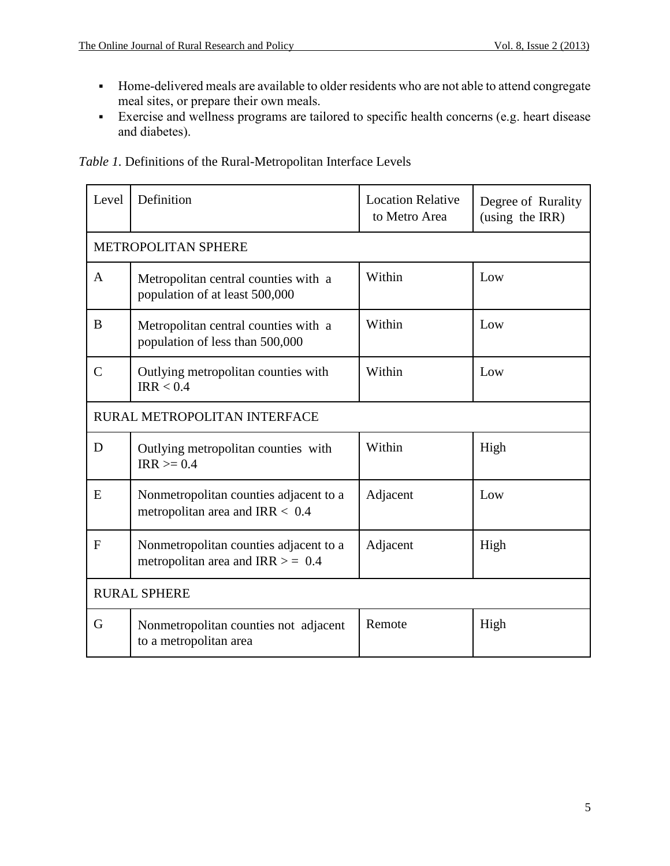- Home-delivered meals are available to older residents who are not able to attend congregate meal sites, or prepare their own meals.
- Exercise and wellness programs are tailored to specific health concerns (e.g. heart disease and diabetes).

|  |  | Table 1. Definitions of the Rural-Metropolitan Interface Levels |
|--|--|-----------------------------------------------------------------|

| Level                        | Definition                                                                    | <b>Location Relative</b><br>to Metro Area | Degree of Rurality<br>(using the IRR) |  |
|------------------------------|-------------------------------------------------------------------------------|-------------------------------------------|---------------------------------------|--|
| <b>METROPOLITAN SPHERE</b>   |                                                                               |                                           |                                       |  |
| $\mathbf{A}$                 | Metropolitan central counties with a<br>population of at least 500,000        | Within                                    | Low                                   |  |
| B                            | Metropolitan central counties with a<br>population of less than 500,000       | Within                                    | Low                                   |  |
| $\mathcal{C}$                | Outlying metropolitan counties with<br>IRR < 0.4                              | Within                                    | Low                                   |  |
| RURAL METROPOLITAN INTERFACE |                                                                               |                                           |                                       |  |
| D                            | Outlying metropolitan counties with<br>$IRR \ge 0.4$                          | Within                                    | High                                  |  |
| E                            | Nonmetropolitan counties adjacent to a<br>metropolitan area and IRR $< 0.4$   | Adjacent                                  | Low                                   |  |
| $\mathbf{F}$                 | Nonmetropolitan counties adjacent to a<br>metropolitan area and IRR $> = 0.4$ | Adjacent                                  | High                                  |  |
| <b>RURAL SPHERE</b>          |                                                                               |                                           |                                       |  |
| G                            | Nonmetropolitan counties not adjacent<br>to a metropolitan area               | Remote                                    | High                                  |  |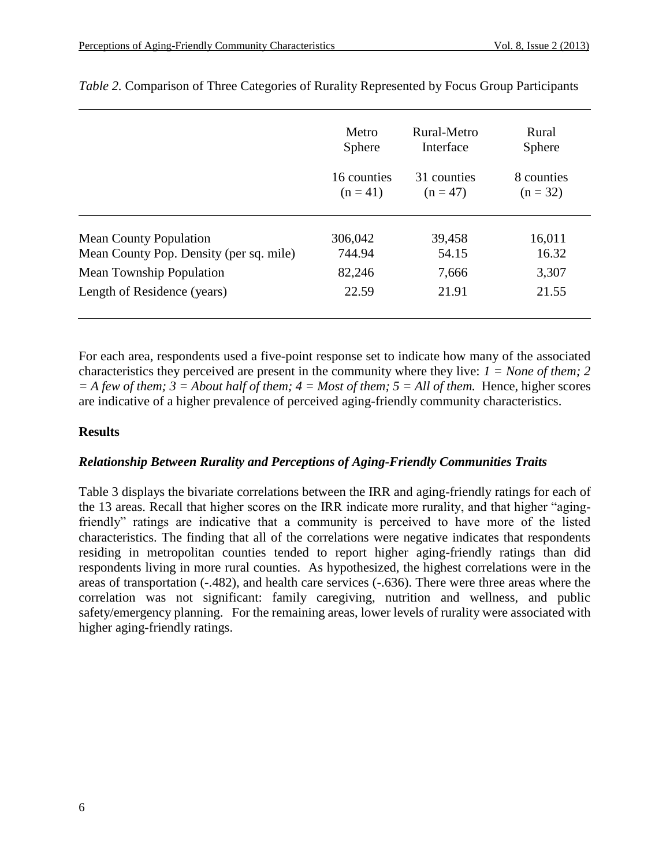|                                         | Metro         | Rural-Metro | Rural         |  |
|-----------------------------------------|---------------|-------------|---------------|--|
|                                         | <b>Sphere</b> | Interface   | <b>Sphere</b> |  |
|                                         | 16 counties   | 31 counties | 8 counties    |  |
|                                         | $(n = 41)$    | $(n = 47)$  | $(n = 32)$    |  |
| <b>Mean County Population</b>           | 306,042       | 39,458      | 16,011        |  |
| Mean County Pop. Density (per sq. mile) | 744.94        | 54.15       | 16.32         |  |
| Mean Township Population                | 82,246        | 7,666       | 3,307         |  |
| Length of Residence (years)             | 22.59         | 21.91       | 21.55         |  |

## *Table 2.* Comparison of Three Categories of Rurality Represented by Focus Group Participants

For each area, respondents used a five-point response set to indicate how many of the associated characteristics they perceived are present in the community where they live: *1 = None of them; 2*   $=$  *A few of them;*  $3 =$  *About half of them;*  $4 =$  *Most of them;*  $5 =$  *All of them.* Hence, higher scores are indicative of a higher prevalence of perceived aging-friendly community characteristics.

### **Results**

#### *Relationship Between Rurality and Perceptions of Aging-Friendly Communities Traits*

Table 3 displays the bivariate correlations between the IRR and aging-friendly ratings for each of the 13 areas. Recall that higher scores on the IRR indicate more rurality, and that higher "agingfriendly" ratings are indicative that a community is perceived to have more of the listed characteristics. The finding that all of the correlations were negative indicates that respondents residing in metropolitan counties tended to report higher aging-friendly ratings than did respondents living in more rural counties. As hypothesized, the highest correlations were in the areas of transportation (-.482), and health care services (-.636). There were three areas where the correlation was not significant: family caregiving, nutrition and wellness, and public safety/emergency planning. For the remaining areas, lower levels of rurality were associated with higher aging-friendly ratings.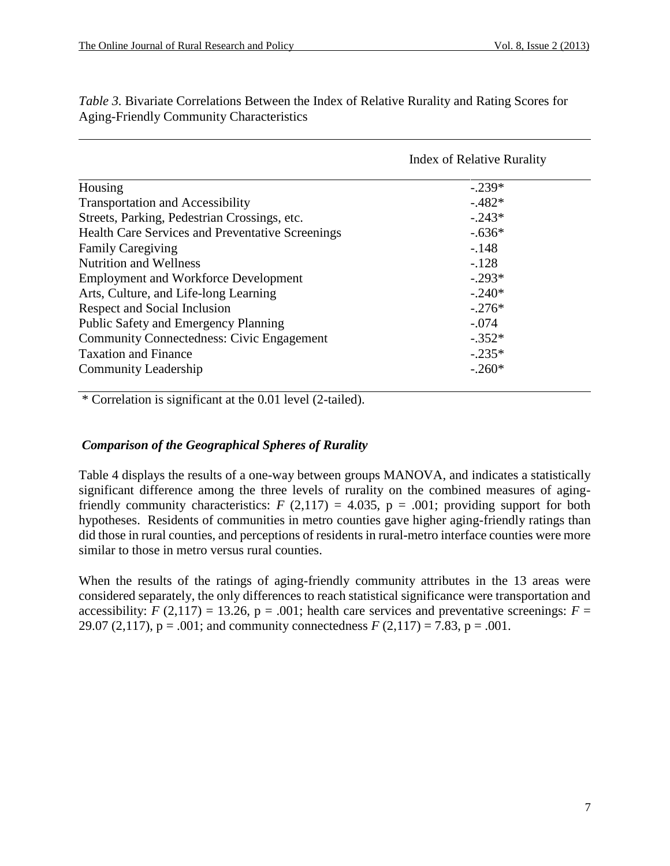|                                                         | <b>Index of Relative Rurality</b> |  |  |
|---------------------------------------------------------|-----------------------------------|--|--|
| Housing                                                 | $-.239*$                          |  |  |
| <b>Transportation and Accessibility</b>                 | $-.482*$                          |  |  |
| Streets, Parking, Pedestrian Crossings, etc.            | $-.243*$                          |  |  |
| <b>Health Care Services and Preventative Screenings</b> | $-.636*$                          |  |  |
| <b>Family Caregiving</b>                                | $-.148$                           |  |  |
| <b>Nutrition and Wellness</b>                           | $-.128$                           |  |  |
| <b>Employment and Workforce Development</b>             | $-.293*$                          |  |  |
| Arts, Culture, and Life-long Learning                   | $-.240*$                          |  |  |
| Respect and Social Inclusion                            | $-.276*$                          |  |  |
| Public Safety and Emergency Planning                    | $-.074$                           |  |  |
| <b>Community Connectedness: Civic Engagement</b>        | $-.352*$                          |  |  |
| <b>Taxation and Finance</b>                             | $-.235*$                          |  |  |
| <b>Community Leadership</b>                             | $-.260*$                          |  |  |

*Table 3.* Bivariate Correlations Between the Index of Relative Rurality and Rating Scores for Aging-Friendly Community Characteristics

\* Correlation is significant at the 0.01 level (2-tailed).

# *Comparison of the Geographical Spheres of Rurality*

Table 4 displays the results of a one-way between groups MANOVA, and indicates a statistically significant difference among the three levels of rurality on the combined measures of agingfriendly community characteristics:  $F(2,117) = 4.035$ ,  $p = .001$ ; providing support for both hypotheses. Residents of communities in metro counties gave higher aging-friendly ratings than did those in rural counties, and perceptions of residents in rural-metro interface counties were more similar to those in metro versus rural counties.

When the results of the ratings of aging-friendly community attributes in the 13 areas were considered separately, the only differences to reach statistical significance were transportation and accessibility:  $F(2,117) = 13.26$ ,  $p = .001$ ; health care services and preventative screenings:  $F =$ 29.07 (2,117),  $p = .001$ ; and community connectedness  $F(2,117) = 7.83$ ,  $p = .001$ .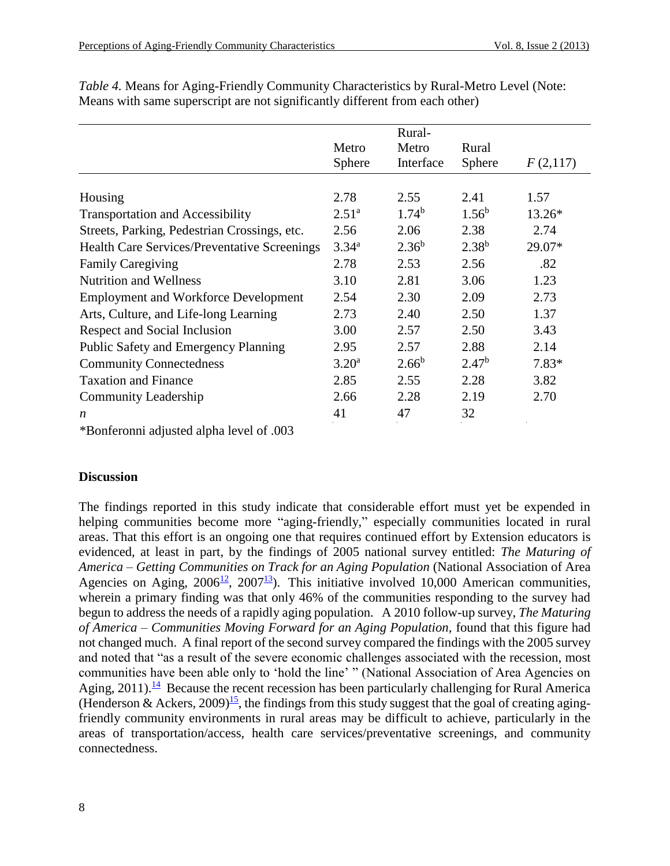|                                                     |                | Rural-     |                   |          |
|-----------------------------------------------------|----------------|------------|-------------------|----------|
|                                                     | Metro          | Metro      | Rural             |          |
|                                                     | <b>Sphere</b>  | Interface  | <b>Sphere</b>     | F(2,117) |
|                                                     |                |            |                   |          |
| Housing                                             | 2.78           | 2.55       | 2.41              | 1.57     |
| <b>Transportation and Accessibility</b>             | $2.51^{\rm a}$ | $1.74^{b}$ | $1.56^b$          | $13.26*$ |
| Streets, Parking, Pedestrian Crossings, etc.        | 2.56           | 2.06       | 2.38              | 2.74     |
| <b>Health Care Services/Preventative Screenings</b> | $3.34^{\rm a}$ | $2.36^{b}$ | $2.38^{b}$        | 29.07*   |
| <b>Family Caregiving</b>                            | 2.78           | 2.53       | 2.56              | .82      |
| <b>Nutrition and Wellness</b>                       | 3.10           | 2.81       | 3.06              | 1.23     |
| <b>Employment and Workforce Development</b>         | 2.54           | 2.30       | 2.09              | 2.73     |
| Arts, Culture, and Life-long Learning               | 2.73           | 2.40       | 2.50              | 1.37     |
| Respect and Social Inclusion                        | 3.00           | 2.57       | 2.50              | 3.43     |
| Public Safety and Emergency Planning                | 2.95           | 2.57       | 2.88              | 2.14     |
| <b>Community Connectedness</b>                      | $3.20^{\rm a}$ | $2.66^{b}$ | 2.47 <sup>b</sup> | $7.83*$  |
| <b>Taxation and Finance</b>                         | 2.85           | 2.55       | 2.28              | 3.82     |
| <b>Community Leadership</b>                         | 2.66           | 2.28       | 2.19              | 2.70     |
| n                                                   | 41             | 47         | 32                |          |

*Table 4.* Means for Aging-Friendly Community Characteristics by Rural-Metro Level (Note: Means with same superscript are not significantly different from each other)

\*Bonferonni adjusted alpha level of .003

#### **Discussion**

<span id="page-8-3"></span><span id="page-8-2"></span><span id="page-8-1"></span><span id="page-8-0"></span>The findings reported in this study indicate that considerable effort must yet be expended in helping communities become more "aging-friendly," especially communities located in rural areas. That this effort is an ongoing one that requires continued effort by Extension educators is evidenced, at least in part, by the findings of 2005 national survey entitled: *The Maturing of America – Getting Communities on Track for an Aging Population* (National Association of Area Agencies on Aging,  $2006^{12}$  $2006^{12}$  $2006^{12}$ ,  $2007^{13}$  $2007^{13}$  $2007^{13}$ ). This initiative involved 10,000 American communities, wherein a primary finding was that only 46% of the communities responding to the survey had begun to address the needs of a rapidly aging population. A 2010 follow-up survey, *The Maturing of America – Communities Moving Forward for an Aging Population,* found that this figure had not changed much. A final report of the second survey compared the findings with the 2005 survey and noted that "as a result of the severe economic challenges associated with the recession, most communities have been able only to 'hold the line' " (National Association of Area Agencies on Aging, 2011).<sup>[14](#page-9-13)</sup> Because the recent recession has been particularly challenging for Rural America (Henderson & Ackers, 2009)<sup>[15](#page-9-14)</sup>, the findings from this study suggest that the goal of creating agingfriendly community environments in rural areas may be difficult to achieve, particularly in the areas of transportation/access, health care services/preventative screenings, and community connectedness.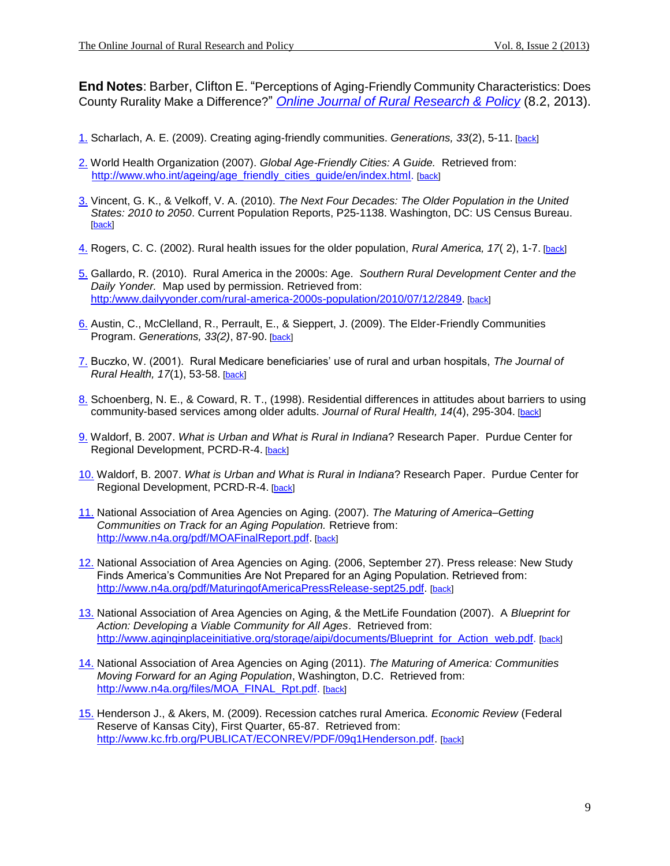**End Notes**: Barber, Clifton E. "Perceptions of Aging-Friendly Community Characteristics: Does County Rurality Make a Difference?" *[Online Journal of Rural Research & Policy](http://www.ojrrp.org/)* (8.2, 2013).

- <span id="page-9-0"></span>[1.](#page-1-0) Scharlach, A. E. (2009). Creating aging-friendly communities. *Generations, 33*(2), 5-11. [\[back\]](#page-1-0)
- <span id="page-9-1"></span>[2.](#page-2-0) World Health Organization (2007). *Global Age-Friendly Cities: A Guide.* Retrieved from: [http://www.who.int/ageing/age\\_friendly\\_cities\\_guide/en/index.html.](http://www.who.int/ageing/age_friendly_cities_guide/en/index.html) [\[back\]](#page-2-0)
- <span id="page-9-2"></span>[3.](#page-2-1) Vincent, G. K., & Velkoff, V. A. (2010). *The Next Four Decades: The Older Population in the United States: 2010 to 2050*. Current Population Reports, P25-1138. Washington, DC: US Census Bureau.  $[back]$
- <span id="page-9-3"></span>[4.](#page-2-2) Rogers, C. C. (2002). Rural health issues for the older population, *Rural America, 17*( 2), 1-7. [\[back\]](#page-2-2)
- <span id="page-9-4"></span>[5.](#page-2-3) Gallardo, R. (2010). Rural America in the 2000s: Age. *Southern Rural Development Center and the Daily Yonder.* Map used by permission. Retrieved from: [http:/www.dailyyonder.com/rural-america-2000s-population/2010/07/12/2849.](http://www.dailyyonder.com/rural-america-2000s-population/2010/07/12/2849) [\[back\]](#page-2-3)
- <span id="page-9-5"></span>[6.](#page-3-0) Austin, C., McClelland, R., Perrault, E., & Sieppert, J. (2009). The Elder-Friendly Communities Program. *Generations, 33(2)*, 87-90. [\[back\]](#page-3-0)
- <span id="page-9-6"></span>[7.](#page-3-1) Buczko, W. (2001). Rural Medicare beneficiaries' use of rural and urban hospitals, *The Journal of Rural Health, 17*(1), 53-58. [\[back\]](#page-3-1)
- <span id="page-9-7"></span>[8.](#page-3-2) Schoenberg, N. E., & Coward, R. T., (1998). Residential differences in attitudes about barriers to using community-based services among older adults. *Journal of Rural Health, 14*(4), 295-304. [\[back\]](#page-3-2)
- <span id="page-9-8"></span>[9.](#page-3-3) Waldorf, B. 2007. *What is Urban and What is Rural in Indiana*? Research Paper. Purdue Center for Regional Development, PCRD-R-4. [\[back\]](#page-3-3)
- <span id="page-9-9"></span>[10.](#page-4-0) Waldorf, B. 2007. *What is Urban and What is Rural in Indiana*? Research Paper. Purdue Center for Regional Development, PCRD-R-4. [\[back\]](#page-4-0)
- <span id="page-9-10"></span>[11.](#page-4-1) National Association of Area Agencies on Aging. (2007). *The Maturing of America–Getting Communities on Track for an Aging Population.* Retrieve from: [http://www.n4a.org/pdf/MOAFinalReport.pdf.](http://www.n4a.org/pdf/MOAFinalReport.pdf) [\[back\]](#page-4-1)
- <span id="page-9-11"></span>[12.](#page-8-0) National Association of Area Agencies on Aging. (2006, September 27). Press release: New Study Finds America's Communities Are Not Prepared for an Aging Population. Retrieved from: [http://www.n4a.org/pdf/MaturingofAmericaPressRelease-sept25.pdf.](http://www.n4a.org/pdf/MaturingofAmericaPressRelease-sept25.pdf) [\[back\]](#page-8-0)
- <span id="page-9-12"></span>[13.](#page-8-1) National Association of Area Agencies on Aging, & the MetLife Foundation (2007). A *Blueprint for Action: Developing a Viable Community for All Ages*. Retrieved from: [http://www.aginginplaceinitiative.org/storage/aipi/documents/Blueprint\\_for\\_Action\\_web.pdf.](http://www.aginginplaceinitiative.org/storage/aipi/documents/Blueprint_for_Action_web.pdf) [\[back\]](#page-8-1)
- <span id="page-9-13"></span>[14.](#page-8-2) National Association of Area Agencies on Aging (2011). *The Maturing of America: Communities Moving Forward for an Aging Population*, Washington, D.C. Retrieved from: [http://www.n4a.org/files/MOA\\_FINAL\\_Rpt.pdf.](http://www.n4a.org/files/MOA_FINAL_Rpt.pdf) [\[back\]](#page-8-2)
- <span id="page-9-14"></span>[15.](#page-8-3) Henderson J., & Akers, M. (2009). Recession catches rural America. *Economic Review* (Federal Reserve of Kansas City), First Quarter, 65-87. Retrieved from: [http://www.kc.frb.org/PUBLICAT/ECONREV/PDF/09q1Henderson.pdf.](http://www.kc.frb.org/PUBLICAT/ECONREV/PDF/09q1Henderson.pdf) [\[back\]](#page-8-3)